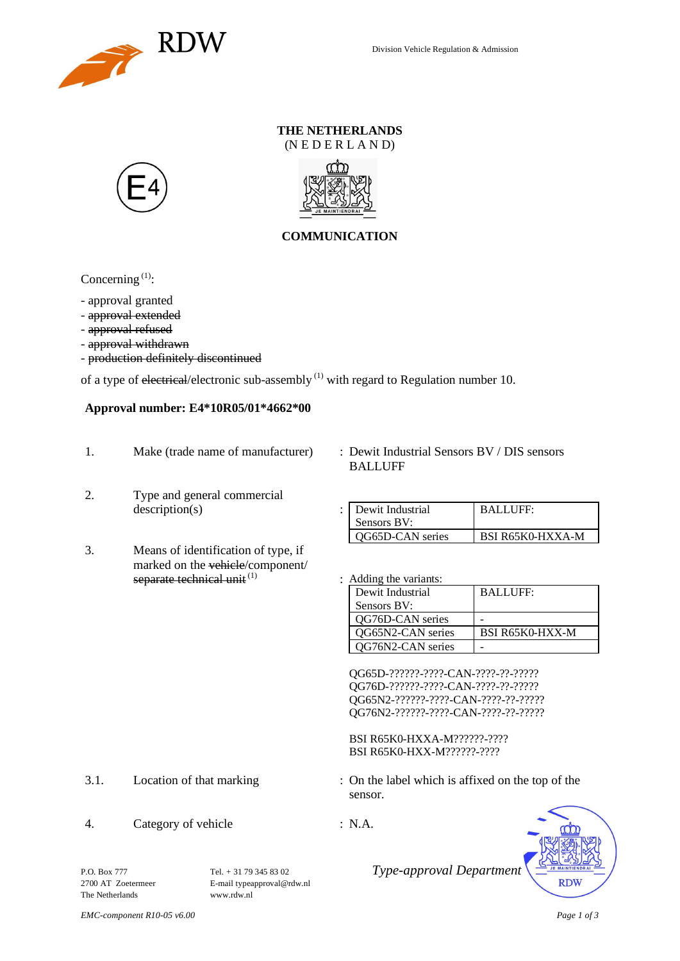

### **THE NETHERLANDS** (N E D E R L A N D)





## **COMMUNICATION**

Concerning  $(1)$ :

- approval granted

- approval extended
- approval refused
- approval withdrawn
- production definitely discontinued

of a type of electrical/electronic sub-assembly  $(1)$  with regard to Regulation number 10.

### **Approval number: E4\*10R05/01\*4662\*00**

- 1. Make (trade name of manufacturer) : Dewit Industrial Sensors BV / DIS sensors
- 2. Type and general commercial  $description(s)$
- 3. Means of identification of type, if marked on the vehicle/component/ separate technical unit  $(1)$  : Adding the variants:
- BALLUFF

| Dewit Industrial<br>Sensors BV: | <b>BALLUFF:</b>         |
|---------------------------------|-------------------------|
| OG65D-CAN series                | <b>BSI R65K0-HXXA-M</b> |

| Dewit Industrial  | <b>BALLUFF:</b>        |
|-------------------|------------------------|
| Sensors BV:       |                        |
| QG76D-CAN series  |                        |
| OG65N2-CAN series | <b>BSI R65K0-HXX-M</b> |
| QG76N2-CAN series |                        |

QG65D-??????-????-CAN-????-??-????? QG76D-??????-????-CAN-????-??-????? QG65N2-??????-????-CAN-????-??-????? QG76N2-??????-????-CAN-????-??-?????

BSI R65K0-HXXA-M??????-???? BSI R65K0-HXX-M??????-????

3.1. Location of that marking : On the label which is affixed on the top of the sensor.

**RDW** 

4. Category of vehicle : N.A.

P.O. Box 777 <br>
Tel. + 31 79 345 83 02 <br>
Type-approval Department<br>
E-mail type<br>
F-mail type<br>
Type-approval Department<br>
E-mail type<br>
proval Department The Netherlands <www.rdw.nl>

E-mail [typeapproval@rdw.nl](mailto:typeapproval@rdw.nl)

*EMC-component R10-05 v6.00 Page 1 of 3*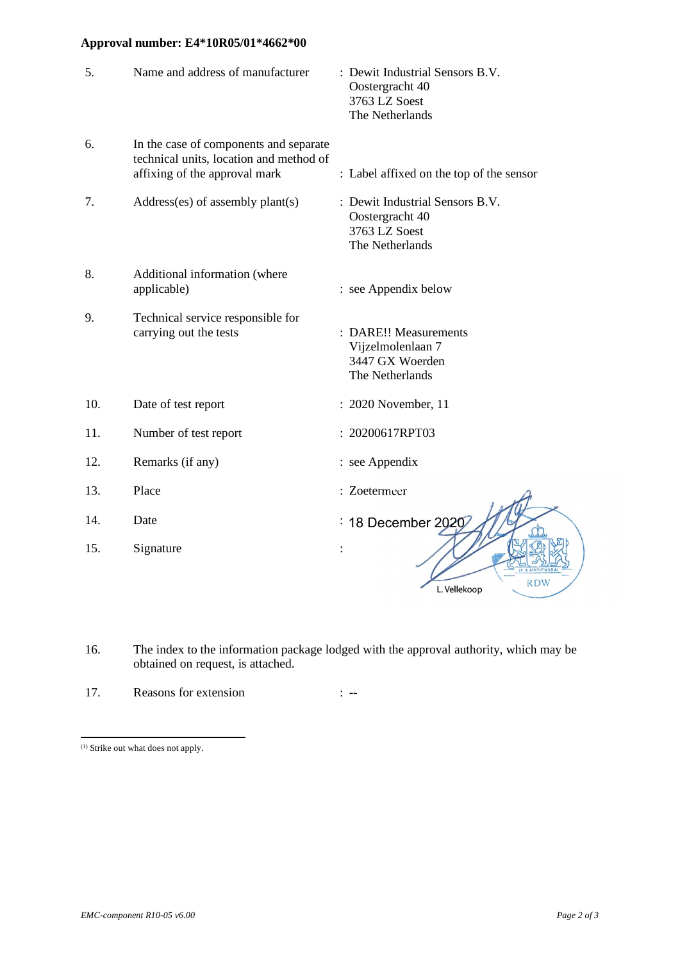# **Approval number: E4\*10R05/01\*4662\*00**

| 5.  | Name and address of manufacturer                                                                                   | : Dewit Industrial Sensors B.V.<br>Oostergracht 40<br>3763 LZ Soest<br>The Netherlands |
|-----|--------------------------------------------------------------------------------------------------------------------|----------------------------------------------------------------------------------------|
| 6.  | In the case of components and separate<br>technical units, location and method of<br>affixing of the approval mark | : Label affixed on the top of the sensor                                               |
| 7.  | Address(es) of assembly plant(s)                                                                                   | : Dewit Industrial Sensors B.V.<br>Oostergracht 40<br>3763 LZ Soest<br>The Netherlands |
| 8.  | Additional information (where<br>applicable)                                                                       | : see Appendix below                                                                   |
| 9.  | Technical service responsible for<br>carrying out the tests                                                        | : DARE!! Measurements<br>Vijzelmolenlaan 7<br>3447 GX Woerden<br>The Netherlands       |
| 10. | Date of test report                                                                                                | : 2020 November, 11                                                                    |
| 11. | Number of test report                                                                                              | : 20200617RPT03                                                                        |
| 12. | Remarks (if any)                                                                                                   | : see Appendix                                                                         |
| 13. | Place                                                                                                              | : Zoetermeer                                                                           |
| 14. | Date                                                                                                               | : 18 December 2020                                                                     |
| 15. | Signature                                                                                                          | <b>RDW</b><br>L. Vellekoop                                                             |

16. The index to the information package lodged with the approval authority, which may be obtained on request, is attached.

17. Reasons for extension : --

<sup>(1)</sup> Strike out what does not apply.